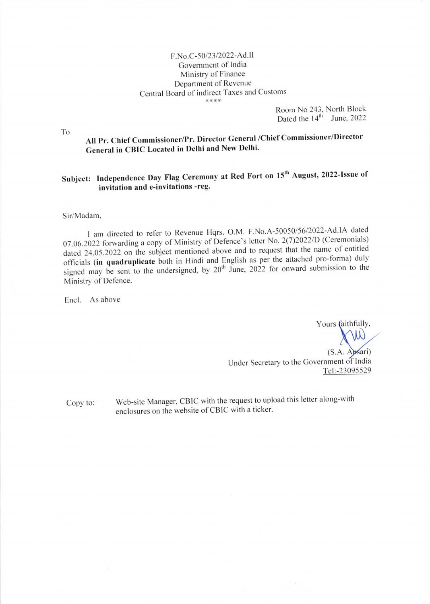## F.No.C-50/23/2022-Ad.II Government of India Ministry of Finance Department of Revenue Central Board of indirect Taxes and Customs<br>\*\*\*\*

Room No 243. North Block Dated the  $14<sup>th</sup>$  June, 2022

All Pr. Chief Commissioner/Pr. Director General /Chief Commissioner/Director General in CBIC Located in Delhi and New Delhi'

## Subject: Independence Day Flag Ceremony at Red Fort on 15<sup>th</sup> August, 2022-Issue of invitation and e-invitations -reg.

Sir/Madam,

I am directed to refer to Revenue Hqrs. O.M. F.No.A-50050/56/2022-Ad.IA dated 07.06.2022 forwarding a copy of Ministry of Defence's letter No. 2(7)2022/D (Ceremonials) dated  $24.05.2022$  on the subject mentioned above and to request that the name of entitled officials (in quadruplicate both in Hindi and English as per the attached pro-forma) duly signed may be sent to the undersigned, by  $20^{th}$  June, 2022 for onward submission to the Ministry of Defence.

Encl. As above

Tel:-23095529 Yours faithfully,  $\begin{pmatrix} 1 & 1 \\ 1 & 1 \end{pmatrix}$  $(S.A.$  Apsari) Under Secretary to the Government of India

Copy to:

Web-site Manager, CBIC with the request to upload this letter along-with enclosures on the website of CBIC with a ticker.

To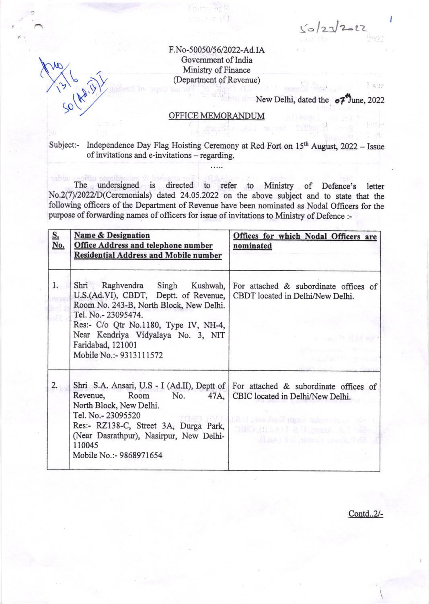$50/2722$ 

 $182$ 

F.No-50050/56/2022-Ad.IA Govemment of lndia Ministry of Finance (Department of Revenue)

New Delhi, dated the  $\circ 7^4$ une, 2022

## OFFICE MEMORANDUM

Subject:- Independence Day Flag Hoisting Ceremony at Red Fort on 15<sup>th</sup> August, 2022 - Issue of invitations and e-invitations - regarding.

The undersigned is directed to refer to Minisfy of Defence's letter No.2(7)/20221D(Ceremonials) dated 24.05.2022 on the above subject and to state that the following officers of the Department of Revenue have been nominated as Nodal Officers for the purpose of forwarding names of officers for issue of invitations to Ministry of Defence :-

| <u>S.</u><br>No. | <b>Name &amp; Designation</b><br>Office Address and telephone number<br><b>Residential Address and Mobile number</b>                                                                                                                                                                                           | Offices for which Nodal Officers are<br>nominated                                                                                                 |
|------------------|----------------------------------------------------------------------------------------------------------------------------------------------------------------------------------------------------------------------------------------------------------------------------------------------------------------|---------------------------------------------------------------------------------------------------------------------------------------------------|
| 1.               | Shri Raghvendra Singh Kushwah, For attached & subordinate offices of<br>U.S.(Ad.VI), CBDT, Deptt. of Revenue,<br>Room No. 243-B, North Block, New Delhi.<br>Tel. No.- 23095474.<br>Res:- C/o Qtr No.1180, Type IV, NH-4,<br>Near Kendriya Vidyalaya No. 3, NIT<br>Faridabad, 121001<br>Mobile No.:- 9313111572 | CBDT located in Delhi/New Delhi.<br>- HearTT 单线 Heft<br>(atsauced) telerali<br>support to strain w                                                |
| 2.               | Shri S.A. Ansari, U.S - I (Ad.II), Deptt of For attached & subordinate offices of<br>Revenue,<br>Room<br>No.<br>North Block, New Delhi.<br>Tel. No.- 23095520<br>Res:- RZ138-C, Street 3A, Durga Park,<br>(Near Dasrathpur), Nasirpur, New Delhi-<br>110045<br>Mobile No.:- 9868971654                         | 47A,   CBIC located in Delhi/New Delhi.<br>i bir sandar Singir Kushwah, b.S.C<br>ORD (BLA) L&U hazaA A 3 - 22-3<br>(LaA) & U raccult marin T.R. 3 |

Contd..2/-